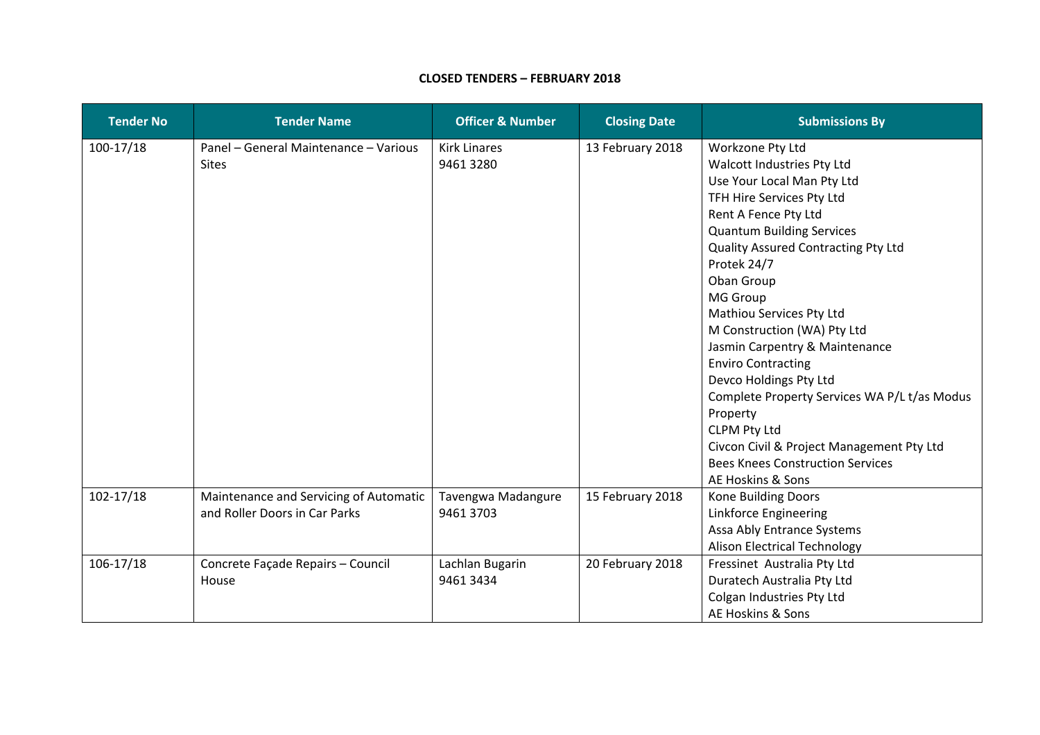## **CLOSED TENDERS – FEBRUARY 2018**

| <b>Tender No</b> | <b>Tender Name</b>                                                      | <b>Officer &amp; Number</b>     | <b>Closing Date</b> | <b>Submissions By</b>                                                                                                                                                                                                                                                                                                                                                                                                                                                                                                                                                                                            |
|------------------|-------------------------------------------------------------------------|---------------------------------|---------------------|------------------------------------------------------------------------------------------------------------------------------------------------------------------------------------------------------------------------------------------------------------------------------------------------------------------------------------------------------------------------------------------------------------------------------------------------------------------------------------------------------------------------------------------------------------------------------------------------------------------|
| $100-17/18$      | Panel - General Maintenance - Various<br><b>Sites</b>                   | <b>Kirk Linares</b><br>94613280 | 13 February 2018    | Workzone Pty Ltd<br>Walcott Industries Pty Ltd<br>Use Your Local Man Pty Ltd<br>TFH Hire Services Pty Ltd<br>Rent A Fence Pty Ltd<br><b>Quantum Building Services</b><br>Quality Assured Contracting Pty Ltd<br>Protek 24/7<br>Oban Group<br><b>MG Group</b><br>Mathiou Services Pty Ltd<br>M Construction (WA) Pty Ltd<br>Jasmin Carpentry & Maintenance<br><b>Enviro Contracting</b><br>Devco Holdings Pty Ltd<br>Complete Property Services WA P/L t/as Modus<br>Property<br><b>CLPM Pty Ltd</b><br>Civcon Civil & Project Management Pty Ltd<br><b>Bees Knees Construction Services</b><br>AE Hoskins & Sons |
| $102 - 17/18$    | Maintenance and Servicing of Automatic<br>and Roller Doors in Car Parks | Tavengwa Madangure<br>9461 3703 | 15 February 2018    | Kone Building Doors<br>Linkforce Engineering<br>Assa Ably Entrance Systems<br><b>Alison Electrical Technology</b>                                                                                                                                                                                                                                                                                                                                                                                                                                                                                                |
| $106 - 17/18$    | Concrete Façade Repairs - Council<br>House                              | Lachlan Bugarin<br>9461 3434    | 20 February 2018    | Fressinet Australia Pty Ltd<br>Duratech Australia Pty Ltd<br>Colgan Industries Pty Ltd<br>AE Hoskins & Sons                                                                                                                                                                                                                                                                                                                                                                                                                                                                                                      |